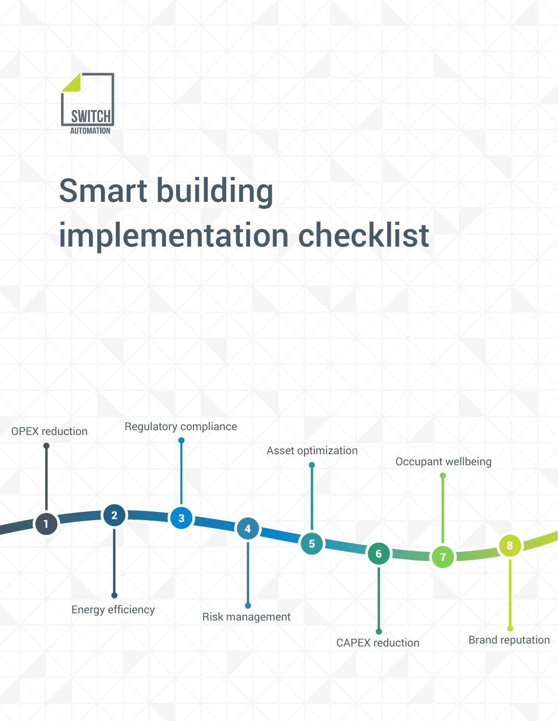

# Smart building implementation checklist

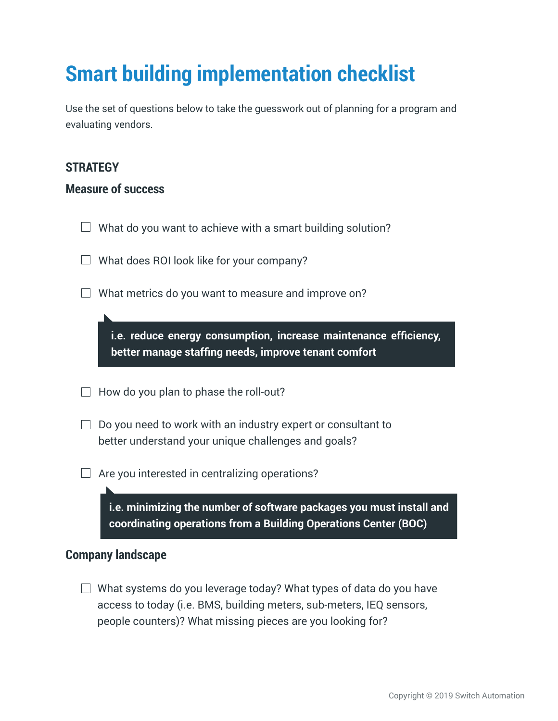## **Smart building implementation checklist**

Use the set of questions below to take the guesswork out of planning for a program and evaluating vendors.

#### **STRATEGY**

#### **Measure of success**

 $\Box$  What do you want to achieve with a smart building solution?

 $\Box$  What does ROI look like for your company?

 $\Box$  What metrics do you want to measure and improve on?

**i.e. reduce energy consumption, increase maintenance efficiency, better manage staffing needs, improve tenant comfort** 

 $\Box$  How do you plan to phase the roll-out?

 $\Box$  Do you need to work with an industry expert or consultant to better understand your unique challenges and goals?

 $\Box$  Are you interested in centralizing operations?

**i.e. minimizing the number of software packages you must install and coordinating operations from a Building Operations Center (BOC)**

#### **Company landscape**

 $\Box$  What systems do you leverage today? What types of data do you have access to today (i.e. BMS, building meters, sub-meters, IEQ sensors, people counters)? What missing pieces are you looking for?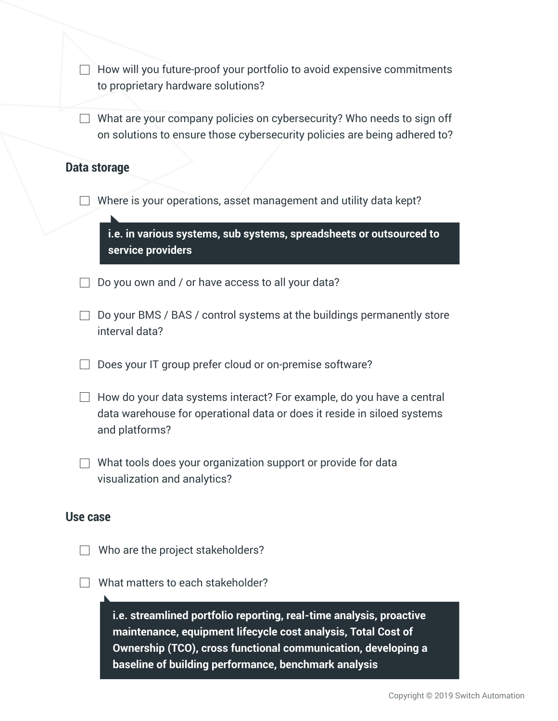$\Box$  How will you future-proof your portfolio to avoid expensive commitments to proprietary hardware solutions?

 $\Box$  What are your company policies on cybersecurity? Who needs to sign off on solutions to ensure those cybersecurity policies are being adhered to?

#### **Data storage**

 $\Box$  Where is your operations, asset management and utility data kept?

**i.e. in various systems, sub systems, spreadsheets or outsourced to service providers** 

 $\Box$  Do you own and / or have access to all your data?

- $\Box$  Do your BMS / BAS / control systems at the buildings permanently store interval data?
- $\Box$  Does your IT group prefer cloud or on-premise software?
- $\Box$  How do your data systems interact? For example, do you have a central data warehouse for operational data or does it reside in siloed systems and platforms?
- $\Box$  What tools does your organization support or provide for data visualization and analytics?

#### **Use case**

- $\Box$  Who are the project stakeholders?
- $\Box$  What matters to each stakeholder?

**i.e. streamlined portfolio reporting, real-time analysis, proactive maintenance, equipment lifecycle cost analysis, Total Cost of Ownership (TCO), cross functional communication, developing a baseline of building performance, benchmark analysis**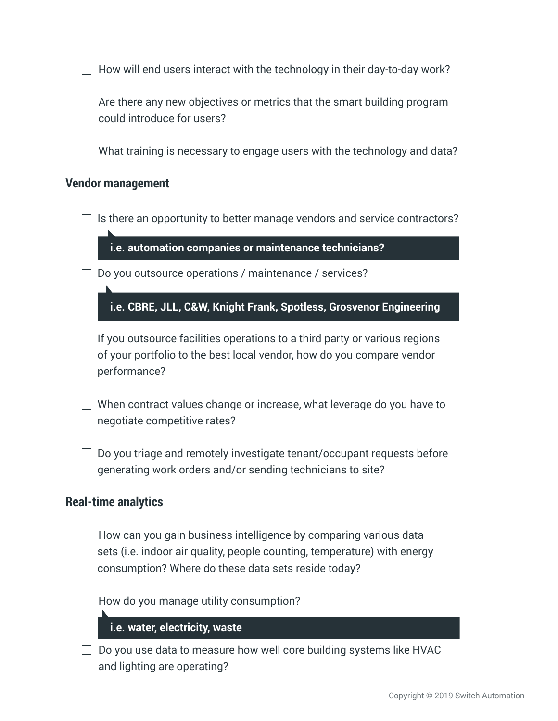- $\Box$  Are there any new objectives or metrics that the smart building program could introduce for users?
- $\Box$  What training is necessary to engage users with the technology and data?

#### **Vendor management**

 $\Box$  Is there an opportunity to better manage vendors and service contractors?

**i.e. automation companies or maintenance technicians?**

 $\Box$  Do you outsource operations / maintenance / services?

**i.e. CBRE, JLL, C&W, Knight Frank, Spotless, Grosvenor Engineering**

- $\Box$  If you outsource facilities operations to a third party or various regions of your portfolio to the best local vendor, how do you compare vendor performance?
- $\Box$  When contract values change or increase, what leverage do you have to negotiate competitive rates?
- $\Box$  Do you triage and remotely investigate tenant/occupant requests before generating work orders and/or sending technicians to site?

#### **Real-time analytics**

- $\Box$  How can you gain business intelligence by comparing various data sets (i.e. indoor air quality, people counting, temperature) with energy consumption? Where do these data sets reside today?
- $\Box$  How do you manage utility consumption?

#### **i.e. water, electricity, waste**

 $\Box$  Do you use data to measure how well core building systems like HVAC and lighting are operating?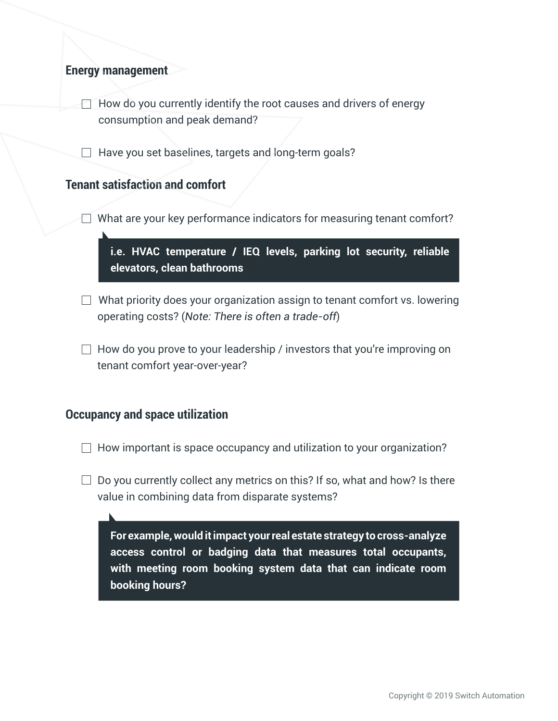#### **Energy management**

 $\Box$  How do you currently identify the root causes and drivers of energy consumption and peak demand?

 $\Box$  Have you set baselines, targets and long-term goals?

#### **Tenant satisfaction and comfort**

 $\Box$  What are your key performance indicators for measuring tenant comfort?

**i.e. HVAC temperature / IEQ levels, parking lot security, reliable elevators, clean bathrooms**

 $\Box$  What priority does your organization assign to tenant comfort vs. lowering operating costs? (*Note: There is often a trade-off*)

 $\Box$  How do you prove to your leadership / investors that you're improving on tenant comfort year-over-year?

#### **Occupancy and space utilization**

 $\Box$  How important is space occupancy and utilization to your organization?

 $\Box$  Do you currently collect any metrics on this? If so, what and how? Is there value in combining data from disparate systems?

**For example, would it impact your real estate strategy to cross-analyze access control or badging data that measures total occupants, with meeting room booking system data that can indicate room booking hours?**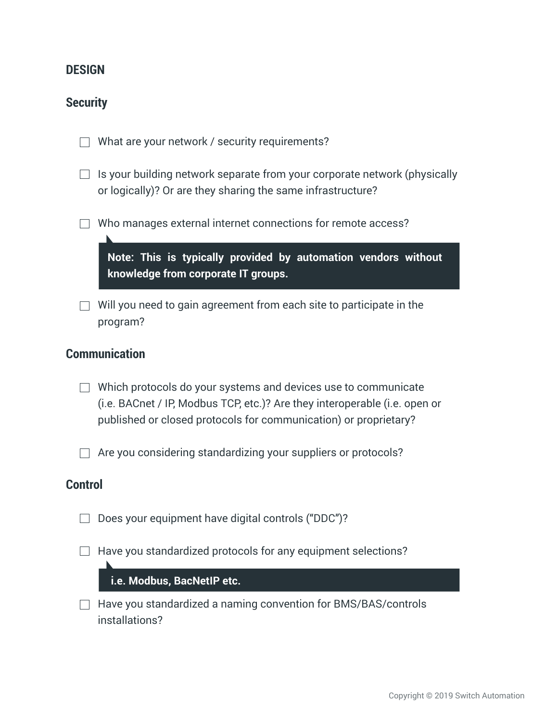#### **DESIGN**

#### **Security**

|  |  |  |  | $\Box$ What are your network / security requirements? |
|--|--|--|--|-------------------------------------------------------|
|--|--|--|--|-------------------------------------------------------|

- $\Box$  Is your building network separate from your corporate network (physically or logically)? Or are they sharing the same infrastructure?
- Who manages external internet connections for remote access?

**Note: This is typically provided by automation vendors without knowledge from corporate IT groups.**

 $\Box$  Will you need to gain agreement from each site to participate in the program?

#### **Communication**

 $\Box$  Which protocols do your systems and devices use to communicate (i.e. BACnet / IP, Modbus TCP, etc.)? Are they interoperable (i.e. open or published or closed protocols for communication) or proprietary?

 $\Box$  Are you considering standardizing your suppliers or protocols?

#### **Control**

- $\Box$  Does your equipment have digital controls ("DDC")?
- $\Box$  Have you standardized protocols for any equipment selections?

#### **i.e. Modbus, BacNetIP etc.**

 $\Box$  Have you standardized a naming convention for BMS/BAS/controls installations?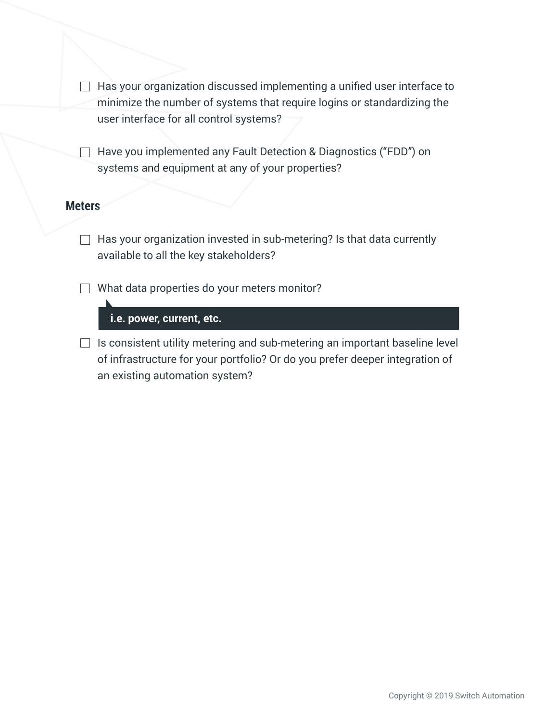$\Box$  Has your organization discussed implementing a unified user interface to minimize the number of systems that require logins or standardizing the user interface for all control systems?

□ Have you implemented any Fault Detection & Diagnostics ("FDD") on systems and equipment at any of your properties?

#### **Meters**

 $\Box$  Has your organization invested in sub-metering? Is that data currently available to all the key stakeholders?

 $\Box$  What data properties do your meters monitor?

**i.e. power, current, etc.**

 $\Box$  Is consistent utility metering and sub-metering an important baseline level of infrastructure for your portfolio? Or do you prefer deeper integration of an existing automation system?